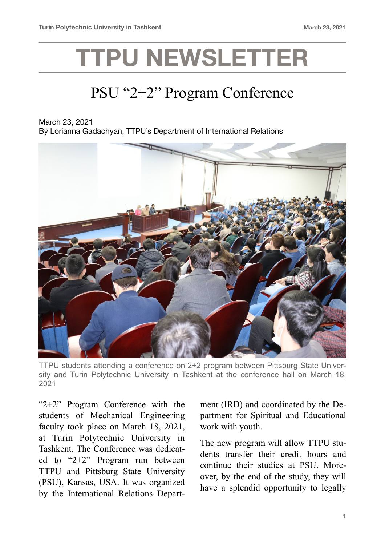## **TTPU NEWSLETTER**

## PSU "2+2" Program Conference

March 23, 2021 By Lorianna Gadachyan, TTPU's Department of International Relations



TTPU students attending a conference on 2+2 program between Pittsburg State University and Turin Polytechnic University in Tashkent at the conference hall on March 18, 2021

"2+2" Program Conference with the students of Mechanical Engineering faculty took place on March 18, 2021, at Turin Polytechnic University in Tashkent. The Conference was dedicated to "2+2" Program run between TTPU and Pittsburg State University (PSU), Kansas, USA. It was organized by the International Relations Department (IRD) and coordinated by the Department for Spiritual and Educational work with youth.

The new program will allow TTPU students transfer their credit hours and continue their studies at PSU. Moreover, by the end of the study, they will have a splendid opportunity to legally